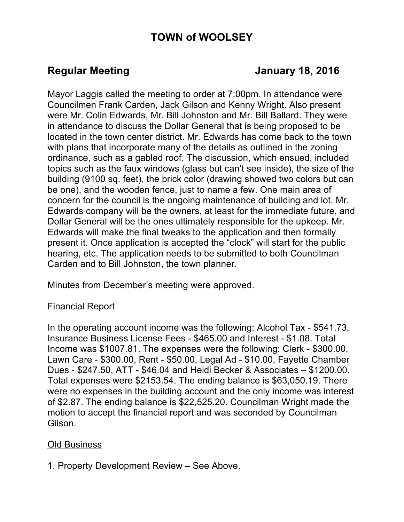# **TOWN of WOOLSEY**

# **Regular Meeting Constraining Constraining Services Area Advisor January 18, 2016**

Mayor Laggis called the meeting to order at 7:00pm. In attendance were Councilmen Frank Carden, Jack Gilson and Kenny Wright. Also present were Mr. Colin Edwards, Mr. Bill Johnston and Mr. Bill Ballard. They were in attendance to discuss the Dollar General that is being proposed to be located in the town center district. Mr. Edwards has come back to the town with plans that incorporate many of the details as outlined in the zoning ordinance, such as a gabled roof. The discussion, which ensued, included topics such as the faux windows (glass but can't see inside), the size of the building (9100 sq. feet), the brick color (drawing showed two colors but can be one), and the wooden fence, just to name a few. One main area of concern for the council is the ongoing maintenance of building and lot. Mr. Edwards company will be the owners, at least for the immediate future, and Dollar General will be the ones ultimately responsible for the upkeep. Mr. Edwards will make the final tweaks to the application and then formally present it. Once application is accepted the "clock" will start for the public hearing, etc. The application needs to be submitted to both Councilman Carden and to Bill Johnston, the town planner.

Minutes from December's meeting were approved.

## Financial Report

In the operating account income was the following: Alcohol Tax - \$541.73, Insurance Business License Fees - \$465.00 and Interest - \$1.08. Total Income was \$1007.81. The expenses were the following: Clerk - \$300.00, Lawn Care - \$300.00, Rent - \$50.00, Legal Ad - \$10.00, Fayette Chamber Dues - \$247.50, ATT - \$46.04 and Heidi Becker & Associates – \$1200.00. Total expenses were \$2153.54. The ending balance is \$63,050.19. There were no expenses in the building account and the only income was interest of \$2.87. The ending balance is \$22,525.20. Councilman Wright made the motion to accept the financial report and was seconded by Councilman Gilson.

## Old Business

#### 1. Property Development Review – See Above.